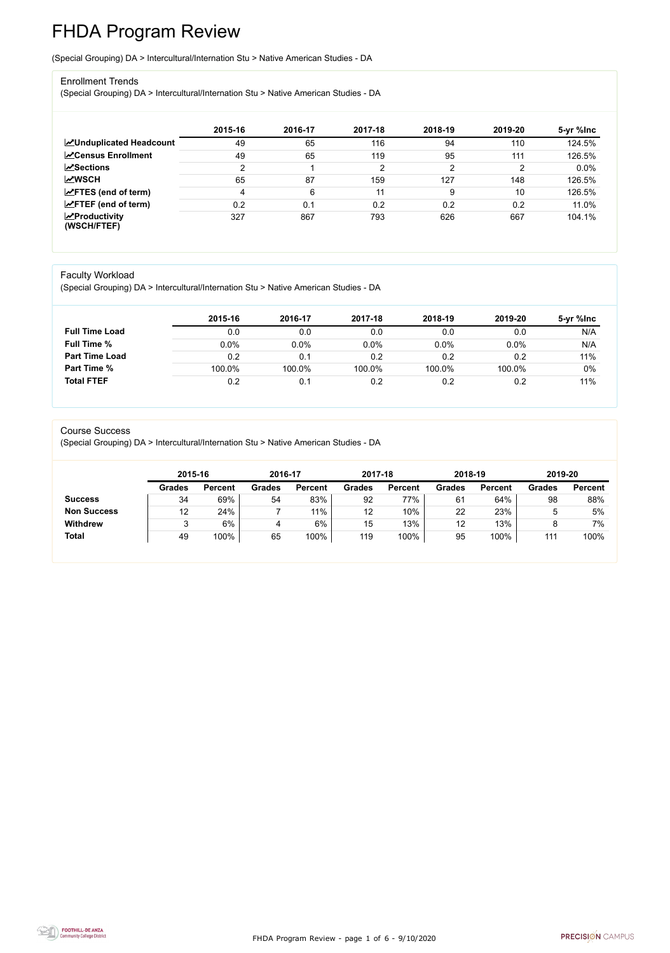FHDA Program Review - page 1 of 6 - 9/10/2020



# FHDA Program Review

(Special Grouping) DA > Intercultural/Internation Stu > Native American Studies - DA

#### Enrollment Trends

(Special Grouping) DA > Intercultural/Internation Stu > Native American Studies - DA

|                                                  | 2015-16 | 2016-17 | 2017-18 | 2018-19 | 2019-20 | 5-yr %lnc |
|--------------------------------------------------|---------|---------|---------|---------|---------|-----------|
| <b>MUnduplicated Headcount</b>                   | 49      | 65      | 116     | 94      | 110     | 124.5%    |
| <b>ZCensus Enrollment</b>                        | 49      | 65      | 119     | 95      | 111     | 126.5%    |
| <b>ZSections</b>                                 | ົ       |         | 2       | 2       | ◠       | 0.0%      |
| <b>MWSCH</b>                                     | 65      | 87      | 159     | 127     | 148     | 126.5%    |
| $\angle$ FTES (end of term)                      | 4       | 6       | 11      |         | 10      | 126.5%    |
| $\angle$ FTEF (end of term)                      | 0.2     | 0.1     | 0.2     | 0.2     | 0.2     | 11.0%     |
| $\sqrt{\frac{1}{2}}$ Productivity<br>(WSCH/FTEF) | 327     | 867     | 793     | 626     | 667     | 104.1%    |

#### Faculty Workload

(Special Grouping) DA > Intercultural/Internation Stu > Native American Studies - DA

|                       | 2015-16 | 2016-17 | 2017-18 | 2018-19 | 2019-20 | 5-yr %Inc |
|-----------------------|---------|---------|---------|---------|---------|-----------|
| <b>Full Time Load</b> | 0.0     | 0.0     | 0.0     | 0.0     | 0.0     | N/A       |
| <b>Full Time %</b>    | $0.0\%$ | 0.0%    | 0.0%    | 0.0%    | 0.0%    | N/A       |
| <b>Part Time Load</b> | 0.2     | 0.1     | 0.2     | 0.2     | 0.2     | 11%       |
| <b>Part Time %</b>    | 100.0%  | 100.0%  | 100.0%  | 100.0%  | 100.0%  | 0%        |
| <b>Total FTEF</b>     | 0.2     | 0.1     | 0.2     | 0.2     | 0.2     | 11%       |

#### Course Success

(Special Grouping) DA > Intercultural/Internation Stu > Native American Studies - DA

|                    | 2015-16       |                | 2016-17       |                | 2017-18       |                | 2018-19       |                | 2019-20       |                |
|--------------------|---------------|----------------|---------------|----------------|---------------|----------------|---------------|----------------|---------------|----------------|
|                    | <b>Grades</b> | <b>Percent</b> | <b>Grades</b> | <b>Percent</b> | <b>Grades</b> | <b>Percent</b> | <b>Grades</b> | <b>Percent</b> | <b>Grades</b> | <b>Percent</b> |
| <b>Success</b>     | 34            | 69%            | 54            | 83%            | 92            | 77%            | 61            | 64%            | 98            | 88%            |
| <b>Non Success</b> | 12            | 24%            |               | $11\%$         | 12            | 10%            | 22            | 23%            | 5             | 5%             |
| <b>Withdrew</b>    |               | 6%             |               | 6%             | 15            | 13%            | 12            | 13%            |               | 7%             |
| <b>Total</b>       | 49            | 100%           | 65            | 100%           | 119           | 100%           | 95            | 100%           | 111           | 100%           |
|                    |               |                |               |                |               |                |               |                |               |                |

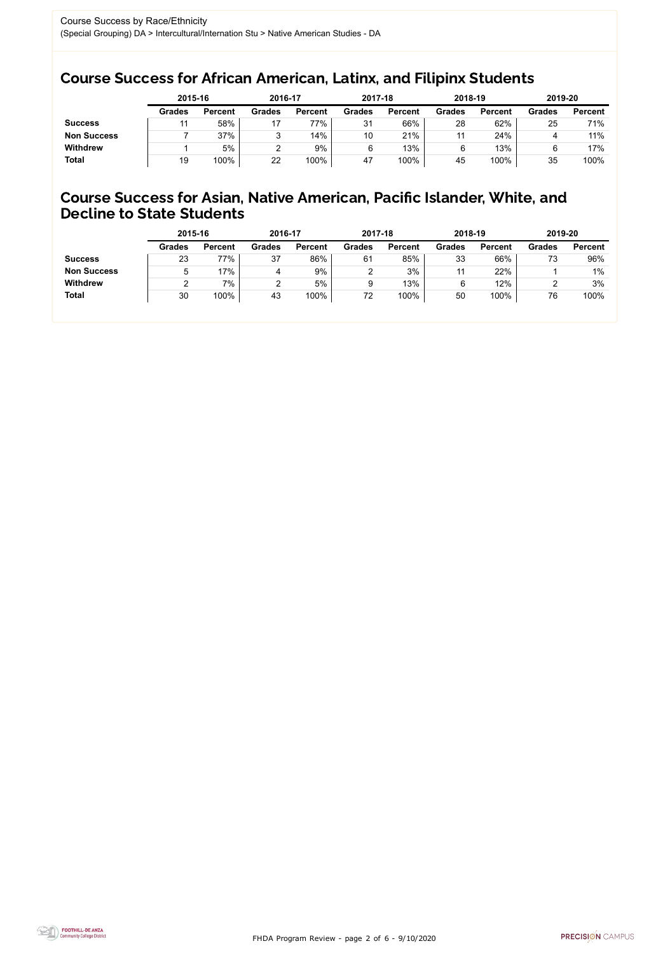FHDA Program Review - page 2 of 6 - 9/10/2020



### Course Success for African American, Latinx, and Filipinx Students

### Course Success for Asian, Native American, Pacific Islander, White, and Decline to State Students

|                    | 2015-16       |                | 2016-17       |                | 2017-18       |                | 2018-19       |                | 2019-20       |                |
|--------------------|---------------|----------------|---------------|----------------|---------------|----------------|---------------|----------------|---------------|----------------|
|                    | <b>Grades</b> | <b>Percent</b> | <b>Grades</b> | <b>Percent</b> | <b>Grades</b> | <b>Percent</b> | <b>Grades</b> | <b>Percent</b> | <b>Grades</b> | <b>Percent</b> |
| <b>Success</b>     |               | 58%            |               | 77%            | 31            | 66%            | 28            | 62%            | 25            | 71%            |
| <b>Non Success</b> |               | 37%            | ື             | 14%            | 10            | 21%            | 11            | 24%            |               | 11%            |
| <b>Withdrew</b>    |               | 5%             |               | 9%             | 6             | 13%            |               | 13%            |               | 17%            |
| <b>Total</b>       | 19            | 100%           | 22            | 100%           | 47            | 100%           | 45            | 100%           | 35            | 100%           |

|                    | 2015-16       |                | 2016-17       |                | 2017-18       |                | 2018-19       |                | 2019-20       |                |
|--------------------|---------------|----------------|---------------|----------------|---------------|----------------|---------------|----------------|---------------|----------------|
|                    | <b>Grades</b> | <b>Percent</b> | <b>Grades</b> | <b>Percent</b> | <b>Grades</b> | <b>Percent</b> | <b>Grades</b> | <b>Percent</b> | <b>Grades</b> | <b>Percent</b> |
| <b>Success</b>     | 23            | 77%            | 37            | 86%            | 61            | 85%            | 33            | 66%            | 73            | 96%            |
| <b>Non Success</b> | 5             | 17%            | 4             | 9%             |               | 3%             | 11            | 22%            |               | $1\%$          |
| <b>Withdrew</b>    |               | 7%             |               | 5%             |               | 13%            | 6             | 12%            |               | 3%             |
| <b>Total</b>       | 30            | 100%           | 43            | 100%           | 72            | 100%           | 50            | 100%           | 76            | 100%           |
|                    |               |                |               |                |               |                |               |                |               |                |

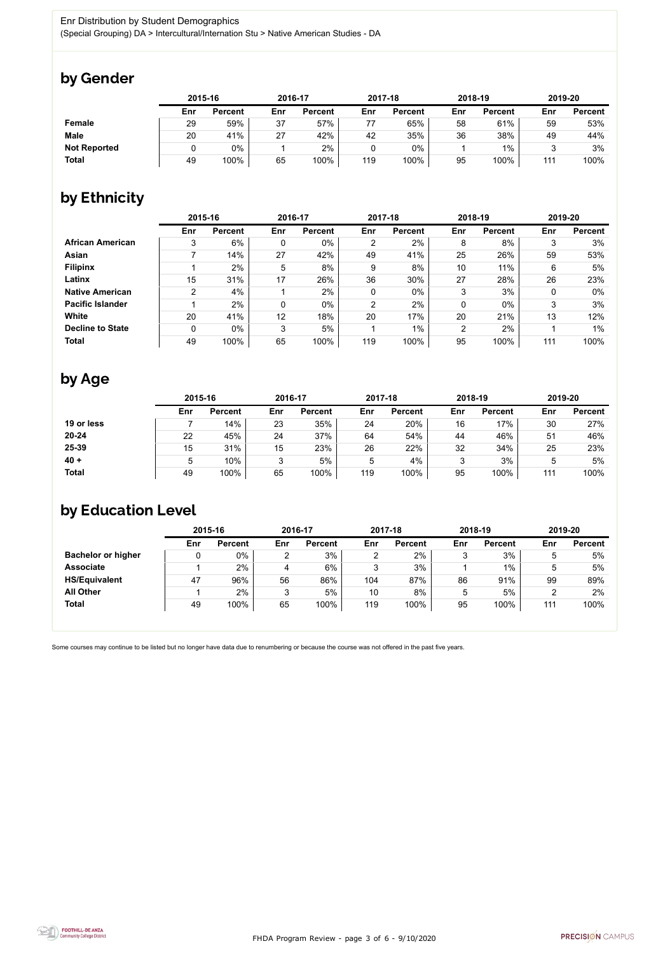

Some courses may continue to be listed but no longer have data due to renumbering or because the course was not offered in the past five years.



### by Gender

|                     |     | 2015-16        |     | 2016-17        |     | 2017-18        | 2018-19 |                | 2019-20 |                |
|---------------------|-----|----------------|-----|----------------|-----|----------------|---------|----------------|---------|----------------|
|                     | Enr | <b>Percent</b> | Enr | <b>Percent</b> | Enr | <b>Percent</b> | Enr     | <b>Percent</b> | Enr     | <b>Percent</b> |
| <b>Female</b>       | 29  | 59%            | 37  | 57%            | 77  | 65%            | 58      | 61%            | 59      | 53%            |
| <b>Male</b>         | 20  | 41%            | 27  | 42%            | 42  | 35%            | 36      | 38%            | 49      | 44%            |
| <b>Not Reported</b> |     | $0\%$          |     | 2%             |     | $0\%$          |         | $1\%$          |         | 3%             |
| <b>Total</b>        | 49  | 100%           | 65  | 100%           | 119 | 100%           | 95      | 100%           | 111     | 100%           |

## by Ethnicity

|                         | 2015-16        |                |     | 2016-17        |                | 2017-18        |                | 2018-19        |     | 2019-20        |
|-------------------------|----------------|----------------|-----|----------------|----------------|----------------|----------------|----------------|-----|----------------|
|                         | Enr            | <b>Percent</b> | Enr | <b>Percent</b> | Enr            | <b>Percent</b> | Enr            | <b>Percent</b> | Enr | <b>Percent</b> |
| <b>African American</b> | 3              | 6%             | 0   | $0\%$          | $\overline{2}$ | 2%             | 8              | 8%             | 3   | 3%             |
| <b>Asian</b>            |                | 14%            | 27  | 42%            | 49             | 41%            | 25             | 26%            | 59  | 53%            |
| <b>Filipinx</b>         |                | 2%             | 5   | 8%             | 9              | 8%             | 10             | 11%            | 6   | 5%             |
| Latinx                  | 15             | 31%            | 17  | 26%            | 36             | 30%            | 27             | 28%            | 26  | 23%            |
| <b>Native American</b>  | $\overline{2}$ | 4%             |     | 2%             | $\mathbf 0$    | $0\%$          | 3              | 3%             | 0   | $0\%$          |
| <b>Pacific Islander</b> |                | 2%             | 0   | 0%             | $\overline{2}$ | 2%             | 0              | $0\%$          | 3   | 3%             |
| <b>White</b>            | 20             | 41%            | 12  | 18%            | 20             | 17%            | 20             | 21%            | 13  | 12%            |
| <b>Decline to State</b> | 0              | $0\%$          | 3   | 5%             |                | $1\%$          | $\overline{2}$ | 2%             |     | $1\%$          |
| <b>Total</b>            | 49             | 100%           | 65  | 100%           | 119            | 100%           | 95             | 100%           | 111 | 100%           |

## by Age

|              | 2015-16 |                |     | 2016-17        |     | 2017-18        |        | 2018-19        | 2019-20 |                |
|--------------|---------|----------------|-----|----------------|-----|----------------|--------|----------------|---------|----------------|
|              | Enr     | <b>Percent</b> | Enr | <b>Percent</b> | Enr | <b>Percent</b> | Enr    | <b>Percent</b> | Enr     | <b>Percent</b> |
| 19 or less   |         | 14%            | 23  | 35%            | 24  | 20%            | 16     | 17%            | 30      | 27%            |
| $20 - 24$    | 22      | 45%            | 24  | 37%            | 64  | 54%            | 44     | 46%            | 51      | 46%            |
| 25-39        | 15      | 31%            | 15  | 23%            | 26  | 22%            | 32     | 34%            | 25      | 23%            |
| $40 +$       |         | 10%            |     | 5%             | 5   | 4%             | 2<br>J | 3%             | ხ       | 5%             |
| <b>Total</b> | 49      | 100%           | 65  | 100%           | 119 | 100%           | 95     | 100%           | 111     | 100%           |

### by Education Level

|                           | 2015-16 |                |     | 2016-17        |     | 2017-18        |     | 2018-19        | 2019-20 |                |
|---------------------------|---------|----------------|-----|----------------|-----|----------------|-----|----------------|---------|----------------|
|                           | Enr     | <b>Percent</b> | Enr | <b>Percent</b> | Enr | <b>Percent</b> | Enr | <b>Percent</b> | Enr     | <b>Percent</b> |
| <b>Bachelor or higher</b> | υ       | $0\%$          | ◠   | 3%             | ◠   | 2%             |     | 3%             |         | 5%             |
| <b>Associate</b>          |         | 2%             | 4   | 6%             | າ   | 3%             |     | 1%             | b       | 5%             |
| <b>HS/Equivalent</b>      | 47      | 96%            | 56  | 86%            | 104 | 87%            | 86  | 91%            | 99      | 89%            |
| <b>All Other</b>          |         | $2\%$          | 3   | 5%             | 10  | 8%             |     | 5%             |         | 2%             |
| <b>Total</b>              | 49      | 100%           | 65  | 100%           | 119 | 100%           | 95  | 100%           | 111     | 100%           |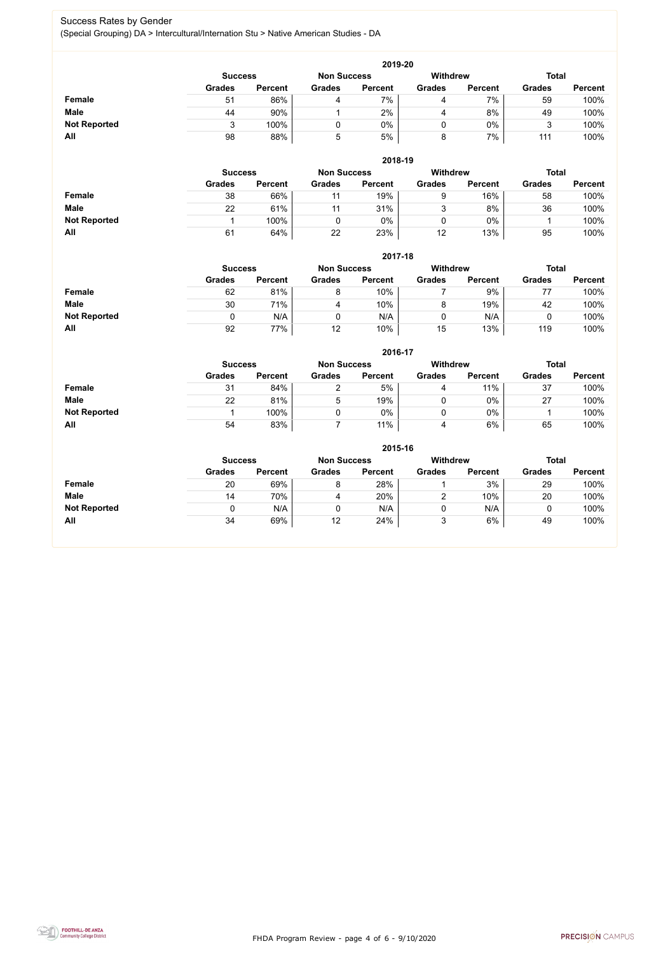FHDA Program Review - page 4 of 6 - 9/10/2020



#### Success Rates by Gender (Special Grouping) DA > Intercultural/Internation Stu > Native American Studies - DA

|                     | 2019-20       |                                      |               |                |               |                |               |                |  |  |  |  |  |
|---------------------|---------------|--------------------------------------|---------------|----------------|---------------|----------------|---------------|----------------|--|--|--|--|--|
|                     |               | <b>Non Success</b><br><b>Success</b> |               |                |               |                | <b>Total</b>  |                |  |  |  |  |  |
|                     | <b>Grades</b> | <b>Percent</b>                       | <b>Grades</b> | <b>Percent</b> | <b>Grades</b> | <b>Percent</b> | <b>Grades</b> | <b>Percent</b> |  |  |  |  |  |
| Female              | 51            | 86%                                  |               | 7%             | 4             | 7%             | 59            | 100%           |  |  |  |  |  |
| <b>Male</b>         | 44            | 90%                                  |               | $2\%$          | 4             | 8%             | 49            | 100%           |  |  |  |  |  |
| <b>Not Reported</b> |               | 100%                                 |               | $0\%$          |               | $0\%$          |               | 100%           |  |  |  |  |  |
| All                 | 98            | 88%                                  | 5             | 5%             | 8             | 7%             | 111           | 100%           |  |  |  |  |  |

|                     |               | 2018-19                              |               |                |               |                |               |                |  |  |  |  |  |  |
|---------------------|---------------|--------------------------------------|---------------|----------------|---------------|----------------|---------------|----------------|--|--|--|--|--|--|
|                     |               | <b>Non Success</b><br><b>Success</b> |               |                |               |                | <b>Total</b>  |                |  |  |  |  |  |  |
|                     | <b>Grades</b> | <b>Percent</b>                       | <b>Grades</b> | <b>Percent</b> | <b>Grades</b> | <b>Percent</b> | <b>Grades</b> | <b>Percent</b> |  |  |  |  |  |  |
| <b>Female</b>       | 38            | 66%                                  | 11            | 19%            | 9             | 16%            | 58            | 100%           |  |  |  |  |  |  |
| <b>Male</b>         | 22            | 61%                                  | 11            | 31%            | າ             | 8%             | 36            | 100%           |  |  |  |  |  |  |
| <b>Not Reported</b> |               | 100%                                 |               | $0\%$          |               | $0\%$          |               | 100%           |  |  |  |  |  |  |
| All                 | 61            | 64%                                  | 22            | 23%            | 12            | 13%            | 95            | 100%           |  |  |  |  |  |  |

|                     |               | 2017-18                                                                 |               |                |               |                |               |                |  |  |  |  |  |
|---------------------|---------------|-------------------------------------------------------------------------|---------------|----------------|---------------|----------------|---------------|----------------|--|--|--|--|--|
|                     |               | <b>Withdrew</b><br><b>Non Success</b><br><b>Total</b><br><b>Success</b> |               |                |               |                |               |                |  |  |  |  |  |
|                     | <b>Grades</b> | <b>Percent</b>                                                          | <b>Grades</b> | <b>Percent</b> | <b>Grades</b> | <b>Percent</b> | <b>Grades</b> | <b>Percent</b> |  |  |  |  |  |
| <b>Female</b>       | 62            | 81%                                                                     | 8             | 10%            |               | 9%             | 77            | 100%           |  |  |  |  |  |
| <b>Male</b>         | 30            | 71%                                                                     | 4             | 10%            |               | 19%            | 42            | 100%           |  |  |  |  |  |
| <b>Not Reported</b> |               | N/A                                                                     |               | N/A            |               | N/A            |               | 100%           |  |  |  |  |  |
| All                 | 92            | 77%                                                                     | 12            | 10%            | 15            | 13%            | 119           | 100%           |  |  |  |  |  |

|                     |                | 2016-17        |                    |                |                 |                |               |                |  |  |
|---------------------|----------------|----------------|--------------------|----------------|-----------------|----------------|---------------|----------------|--|--|
|                     | <b>Success</b> |                | <b>Non Success</b> |                | <b>Withdrew</b> |                | <b>Total</b>  |                |  |  |
|                     | <b>Grades</b>  | <b>Percent</b> | <b>Grades</b>      | <b>Percent</b> | <b>Grades</b>   | <b>Percent</b> | <b>Grades</b> | <b>Percent</b> |  |  |
| Female              | 31             | 84%            |                    | 5%             | 4               | 11%            | 37            | 100%           |  |  |
| <b>Male</b>         | 22             | 81%            | ხ                  | 19%            |                 | $0\%$          | 27            | 100%           |  |  |
| <b>Not Reported</b> |                | 100%           |                    | 0%             |                 | $0\%$          |               | 100%           |  |  |
| All                 | 54             | 83%            |                    | 11%            | 4               | 6%             | 65            | 100%           |  |  |

|                     | 2015-16                                                 |                |               |                |               |                |               |                |  |
|---------------------|---------------------------------------------------------|----------------|---------------|----------------|---------------|----------------|---------------|----------------|--|
|                     | <b>Withdrew</b><br><b>Non Success</b><br><b>Success</b> |                |               |                |               |                |               | <b>Total</b>   |  |
|                     | <b>Grades</b>                                           | <b>Percent</b> | <b>Grades</b> | <b>Percent</b> | <b>Grades</b> | <b>Percent</b> | <b>Grades</b> | <b>Percent</b> |  |
| <b>Female</b>       | 20                                                      | 69%            | 8             | 28%            |               | 3%             | 29            | 100%           |  |
| <b>Male</b>         | 14                                                      | 70%            | 4             | 20%            | ົ             | 10%            | 20            | 100%           |  |
| <b>Not Reported</b> |                                                         | N/A            | 0             | N/A            | 0             | N/A            | u             | 100%           |  |
| All                 | 34                                                      | 69%            | 12            | 24%            | 3             | 6%             | 49            | 100%           |  |

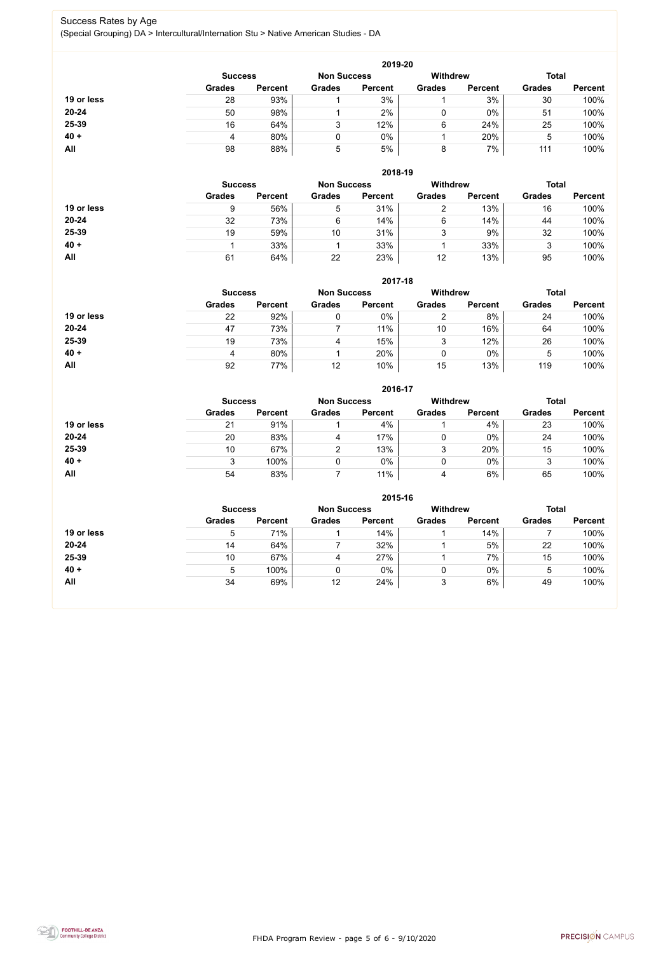FHDA Program Review - page 5 of 6 - 9/10/2020



#### Success Rates by Age (Special Grouping) DA > Intercultural/Internation Stu > Native American Studies - DA

|            |                |                    |               | 2019-20         |               |                |               |                |
|------------|----------------|--------------------|---------------|-----------------|---------------|----------------|---------------|----------------|
|            | <b>Success</b> | <b>Non Success</b> |               | <b>Withdrew</b> |               | <b>Total</b>   |               |                |
|            | <b>Grades</b>  | <b>Percent</b>     | <b>Grades</b> | <b>Percent</b>  | <b>Grades</b> | <b>Percent</b> | <b>Grades</b> | <b>Percent</b> |
| 19 or less | 28             | 93%                |               | 3%              |               | 3%             | 30            | 100%           |
| 20-24      | 50             | 98%                |               | 2%              | 0             | $0\%$          | 51            | 100%           |
| 25-39      | 16             | 64%                | 3             | 12%             | 6             | 24%            | 25            | 100%           |
| $40 +$     | 4              | 80%                | 0             | $0\%$           |               | 20%            | 5             | 100%           |
| All        | 98             | 88%                | 5             | 5%              | 8             | 7%             | 111           | 100%           |

|            |                |                    |               | 2018-19         |               |                |               |                |
|------------|----------------|--------------------|---------------|-----------------|---------------|----------------|---------------|----------------|
|            | <b>Success</b> | <b>Non Success</b> |               | <b>Withdrew</b> |               | <b>Total</b>   |               |                |
|            | <b>Grades</b>  | <b>Percent</b>     | <b>Grades</b> | <b>Percent</b>  | <b>Grades</b> | <b>Percent</b> | <b>Grades</b> | <b>Percent</b> |
| 19 or less | 9              | 56%                | 5             | 31%             | ⌒             | 13%            | 16            | 100%           |
| $20 - 24$  | 32             | 73%                | 6             | 14%             | 6             | 14%            | 44            | 100%           |
| 25-39      | 19             | 59%                | 10            | 31%             | 3             | 9%             | 32            | 100%           |
| $40 +$     |                | 33%                |               | 33%             |               | 33%            | 3             | 100%           |
| All        | 61             | 64%                | 22            | 23%             | 12            | 13%            | 95            | 100%           |

|            |                                      |                |               | 2017-18        |                 |                |               |                |
|------------|--------------------------------------|----------------|---------------|----------------|-----------------|----------------|---------------|----------------|
|            | <b>Non Success</b><br><b>Success</b> |                |               |                | <b>Withdrew</b> |                | <b>Total</b>  |                |
|            | <b>Grades</b>                        | <b>Percent</b> | <b>Grades</b> | <b>Percent</b> | <b>Grades</b>   | <b>Percent</b> | <b>Grades</b> | <b>Percent</b> |
| 19 or less | 22                                   | 92%            | 0             | 0%             |                 | 8%             | 24            | 100%           |
| $20 - 24$  | 47                                   | 73%            |               | 11%            | 10              | 16%            | 64            | 100%           |
| 25-39      | 19                                   | 73%            |               | 15%            | 3               | 12%            | 26            | 100%           |
| $40 +$     | 4                                    | 80%            |               | 20%            | 0               | $0\%$          | 5             | 100%           |
| All        | 92                                   | 77%            | 12            | 10%            | 15              | 13%            | 119           | 100%           |

|            |                |                    |               | 2016-17         |               |                |               |                |
|------------|----------------|--------------------|---------------|-----------------|---------------|----------------|---------------|----------------|
|            | <b>Success</b> | <b>Non Success</b> |               | <b>Withdrew</b> |               | <b>Total</b>   |               |                |
|            | <b>Grades</b>  | <b>Percent</b>     | <b>Grades</b> | <b>Percent</b>  | <b>Grades</b> | <b>Percent</b> | <b>Grades</b> | <b>Percent</b> |
| 19 or less | 21             | 91%                |               | 4%              |               | 4%             | 23            | 100%           |
| $20 - 24$  | 20             | 83%                | 4             | 17%             | 0             | $0\%$          | 24            | 100%           |
| 25-39      | 10             | 67%                | 2             | 13%             | 3             | 20%            | 15            | 100%           |
| $40 +$     | 3              | 100%               |               | 0%              | 0             | $0\%$          | 3             | 100%           |
| All        | 54             | 83%                |               | 11%             | 4             | 6%             | 65            | 100%           |

|            |                                      |                |               | 2015-16        |                 |                |               |                |
|------------|--------------------------------------|----------------|---------------|----------------|-----------------|----------------|---------------|----------------|
|            | <b>Non Success</b><br><b>Success</b> |                |               |                | <b>Withdrew</b> |                | <b>Total</b>  |                |
|            | <b>Grades</b>                        | <b>Percent</b> | <b>Grades</b> | <b>Percent</b> | <b>Grades</b>   | <b>Percent</b> | <b>Grades</b> | <b>Percent</b> |
| 19 or less | ხ                                    | 71%            |               | 14%            |                 | 14%            |               | 100%           |
| 20-24      | 14                                   | 64%            |               | 32%            |                 | 5%             | 22            | 100%           |
| 25-39      | 10                                   | 67%            | 4             | 27%            |                 | 7%             | 15            | 100%           |
| $40 +$     | $\mathbf b$                          | 100%           |               | $0\%$          |                 | 0%             | 5             | 100%           |
| <b>All</b> | 34                                   | 69%            | 12            | 24%            | 3               | 6%             | 49            | 100%           |